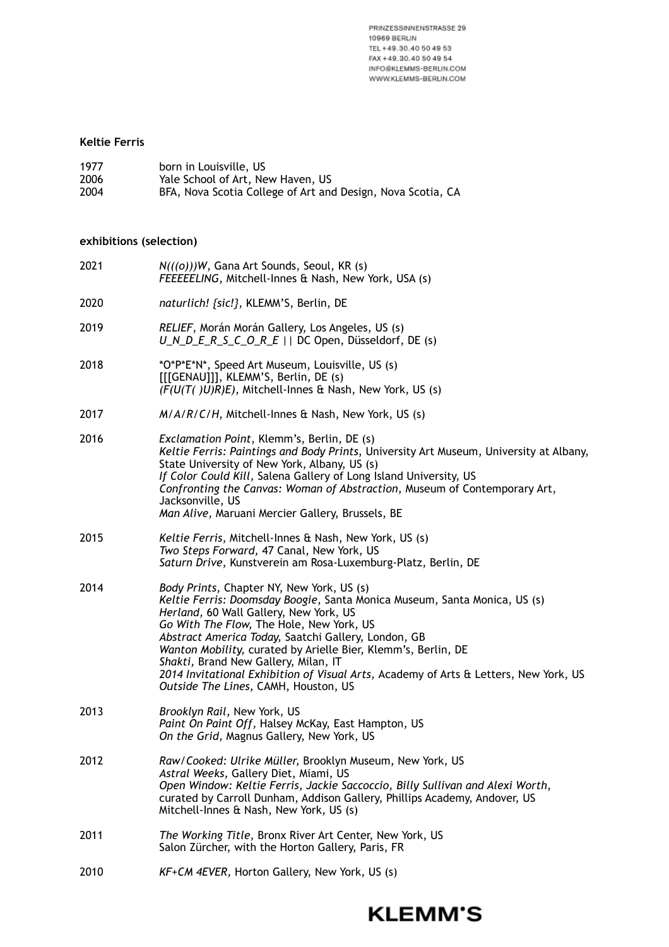PRINZESSINNENSTRASSE 29 10969 BERLIN TEL +49.30.40 50 49 53 FAX +49.30.40 50 49 54 INFO@KLEMMS-BERLIN.COM WWW.KLEMMS-BERLIN.COM

## **Keltie Ferris**

| 1977 | born in Louisville, US                                      |
|------|-------------------------------------------------------------|
| 2006 | Yale School of Art, New Haven, US                           |
| 2004 | BFA, Nova Scotia College of Art and Design, Nova Scotia, CA |

## **exhibitions (selection)**

| 2021 | $N(((o))$ W, Gana Art Sounds, Seoul, KR (s)<br>FEEEEELING, Mitchell-Innes & Nash, New York, USA (s)                                                                                                                                                                                                                                                                                                                                                                                                          |
|------|--------------------------------------------------------------------------------------------------------------------------------------------------------------------------------------------------------------------------------------------------------------------------------------------------------------------------------------------------------------------------------------------------------------------------------------------------------------------------------------------------------------|
| 2020 | naturlich! {sic!}, KLEMM'S, Berlin, DE                                                                                                                                                                                                                                                                                                                                                                                                                                                                       |
| 2019 | RELIEF, Morán Morán Gallery, Los Angeles, US (s)<br>U N D E R S C O R E     DC Open, Düsseldorf, DE (s)                                                                                                                                                                                                                                                                                                                                                                                                      |
| 2018 | *O*P*E*N*, Speed Art Museum, Louisville, US (s)<br>[[[GENAU]]], KLEMM'S, Berlin, DE (s)<br>$(F(U(T($ $)U)R)E)$ , Mitchell-Innes & Nash, New York, US (s)                                                                                                                                                                                                                                                                                                                                                     |
| 2017 | M/A/R/C/H, Mitchell-Innes & Nash, New York, US (s)                                                                                                                                                                                                                                                                                                                                                                                                                                                           |
| 2016 | Exclamation Point, Klemm's, Berlin, DE (s)<br>Keltie Ferris: Paintings and Body Prints, University Art Museum, University at Albany,<br>State University of New York, Albany, US (s)<br>If Color Could Kill, Salena Gallery of Long Island University, US<br>Confronting the Canvas: Woman of Abstraction, Museum of Contemporary Art,<br>Jacksonville, US<br>Man Alive, Maruani Mercier Gallery, Brussels, BE                                                                                               |
| 2015 | Keltie Ferris, Mitchell-Innes & Nash, New York, US (s)<br>Two Steps Forward, 47 Canal, New York, US<br>Saturn Drive, Kunstverein am Rosa-Luxemburg-Platz, Berlin, DE                                                                                                                                                                                                                                                                                                                                         |
| 2014 | Body Prints, Chapter NY, New York, US (s)<br>Keltie Ferris: Doomsday Boogie, Santa Monica Museum, Santa Monica, US (s)<br>Herland, 60 Wall Gallery, New York, US<br>Go With The Flow, The Hole, New York, US<br>Abstract America Today, Saatchi Gallery, London, GB<br>Wanton Mobility, curated by Arielle Bier, Klemm's, Berlin, DE<br>Shakti, Brand New Gallery, Milan, IT<br>2014 Invitational Exhibition of Visual Arts, Academy of Arts & Letters, New York, US<br>Outside The Lines, CAMH, Houston, US |
| 2013 | Brooklyn Rail, New York, US<br>Paint On Paint Off, Halsey McKay, East Hampton, US<br>On the Grid, Magnus Gallery, New York, US                                                                                                                                                                                                                                                                                                                                                                               |
| 2012 | Raw/Cooked: Ulrike Müller, Brooklyn Museum, New York, US<br>Astral Weeks, Gallery Diet, Miami, US<br>Open Window: Keltie Ferris, Jackie Saccoccio, Billy Sullivan and Alexi Worth,<br>curated by Carroll Dunham, Addison Gallery, Phillips Academy, Andover, US<br>Mitchell-Innes & Nash, New York, US (s)                                                                                                                                                                                                   |
| 2011 | The Working Title, Bronx River Art Center, New York, US<br>Salon Zürcher, with the Horton Gallery, Paris, FR                                                                                                                                                                                                                                                                                                                                                                                                 |
| 2010 | KF+CM 4EVER, Horton Gallery, New York, US (s)                                                                                                                                                                                                                                                                                                                                                                                                                                                                |